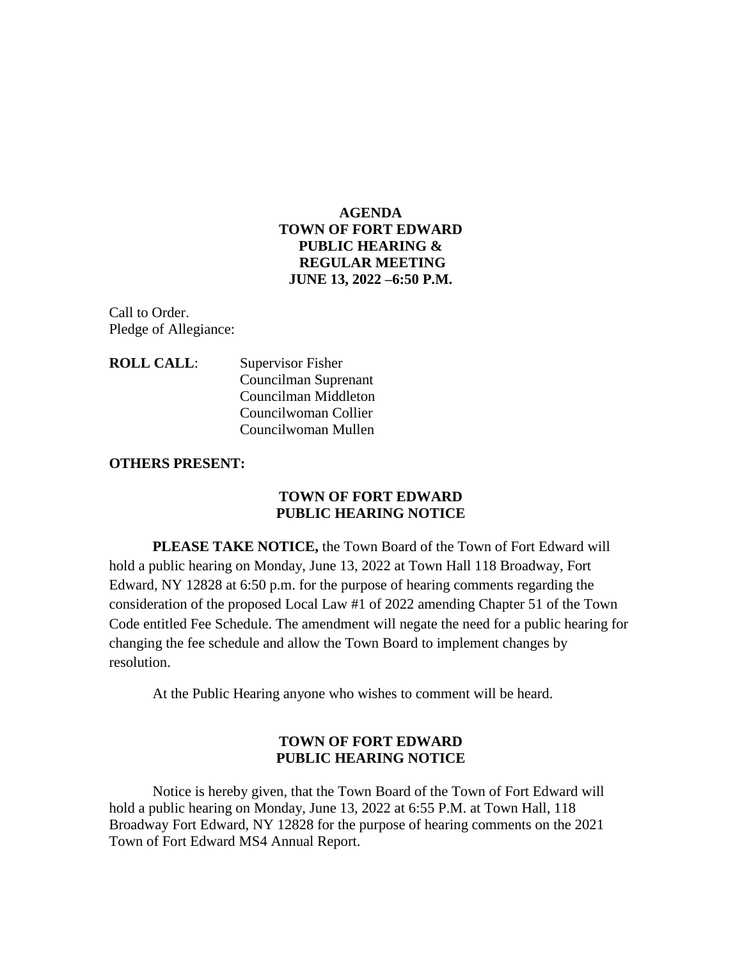## **AGENDA TOWN OF FORT EDWARD PUBLIC HEARING & REGULAR MEETING JUNE 13, 2022 –6:50 P.M.**

Call to Order. Pledge of Allegiance:

**ROLL CALL**: Supervisor Fisher Councilman Suprenant Councilman Middleton Councilwoman Collier Councilwoman Mullen

#### **OTHERS PRESENT:**

#### **TOWN OF FORT EDWARD PUBLIC HEARING NOTICE**

**PLEASE TAKE NOTICE,** the Town Board of the Town of Fort Edward will hold a public hearing on Monday, June 13, 2022 at Town Hall 118 Broadway, Fort Edward, NY 12828 at 6:50 p.m. for the purpose of hearing comments regarding the consideration of the proposed Local Law #1 of 2022 amending Chapter 51 of the Town Code entitled Fee Schedule. The amendment will negate the need for a public hearing for changing the fee schedule and allow the Town Board to implement changes by resolution.

At the Public Hearing anyone who wishes to comment will be heard.

## **TOWN OF FORT EDWARD PUBLIC HEARING NOTICE**

Notice is hereby given, that the Town Board of the Town of Fort Edward will hold a public hearing on Monday, June 13, 2022 at 6:55 P.M. at Town Hall, 118 Broadway Fort Edward, NY 12828 for the purpose of hearing comments on the 2021 Town of Fort Edward MS4 Annual Report.